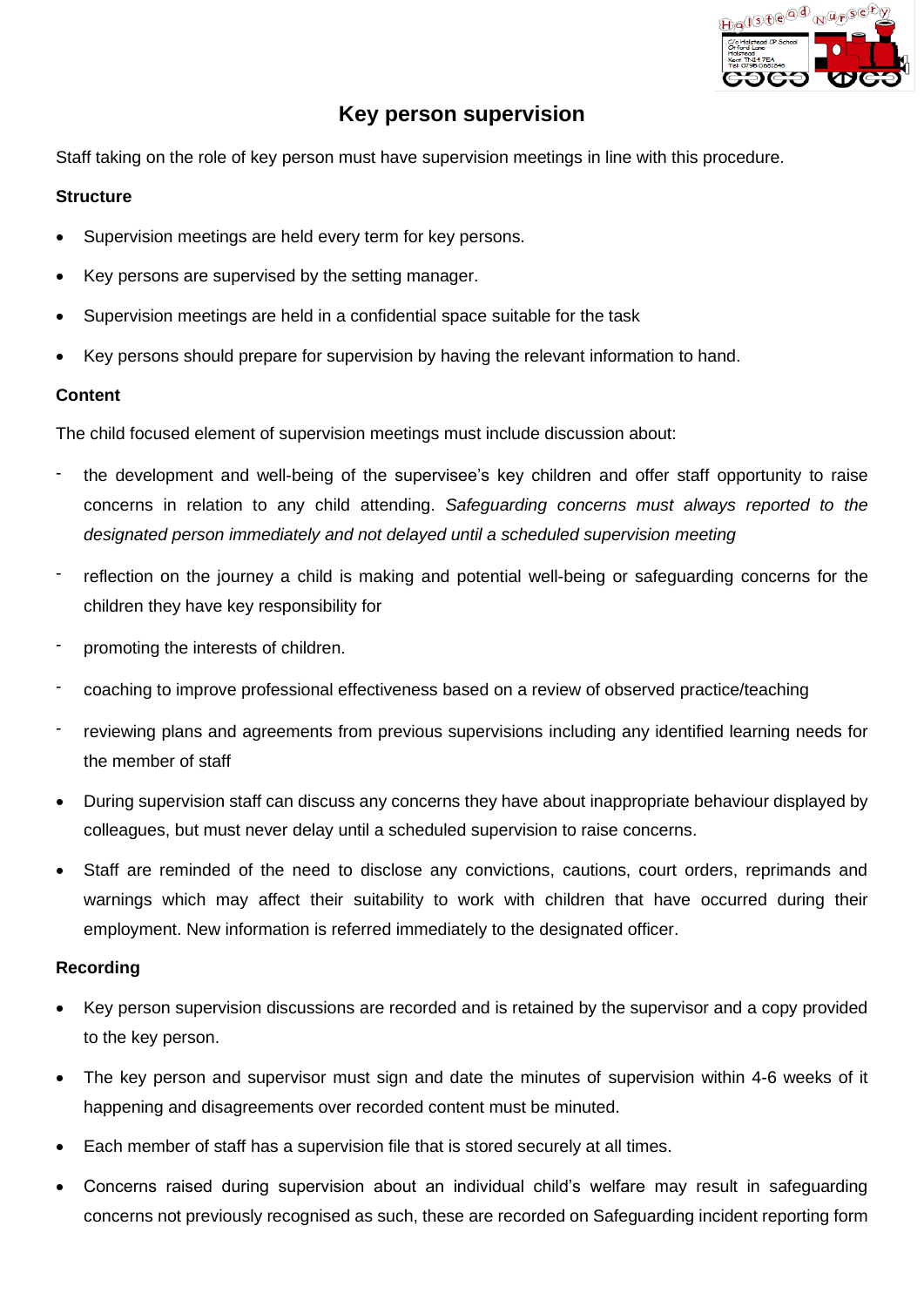

# **Key person supervision**

Staff taking on the role of key person must have supervision meetings in line with this procedure.

#### **Structure**

- Supervision meetings are held every term for key persons.
- Key persons are supervised by the setting manager.
- Supervision meetings are held in a confidential space suitable for the task
- Key persons should prepare for supervision by having the relevant information to hand.

### **Content**

The child focused element of supervision meetings must include discussion about:

- the development and well-being of the supervisee's key children and offer staff opportunity to raise concerns in relation to any child attending. *Safeguarding concerns must always reported to the designated person immediately and not delayed until a scheduled supervision meeting*
- reflection on the journey a child is making and potential well-being or safeguarding concerns for the children they have key responsibility for
- promoting the interests of children.
- coaching to improve professional effectiveness based on a review of observed practice/teaching
- reviewing plans and agreements from previous supervisions including any identified learning needs for the member of staff
- During supervision staff can discuss any concerns they have about inappropriate behaviour displayed by colleagues, but must never delay until a scheduled supervision to raise concerns.
- Staff are reminded of the need to disclose any convictions, cautions, court orders, reprimands and warnings which may affect their suitability to work with children that have occurred during their employment. New information is referred immediately to the designated officer.

#### **Recording**

- Key person supervision discussions are recorded and is retained by the supervisor and a copy provided to the key person.
- The key person and supervisor must sign and date the minutes of supervision within 4-6 weeks of it happening and disagreements over recorded content must be minuted.
- Each member of staff has a supervision file that is stored securely at all times.
- Concerns raised during supervision about an individual child's welfare may result in safeguarding concerns not previously recognised as such, these are recorded on Safeguarding incident reporting form